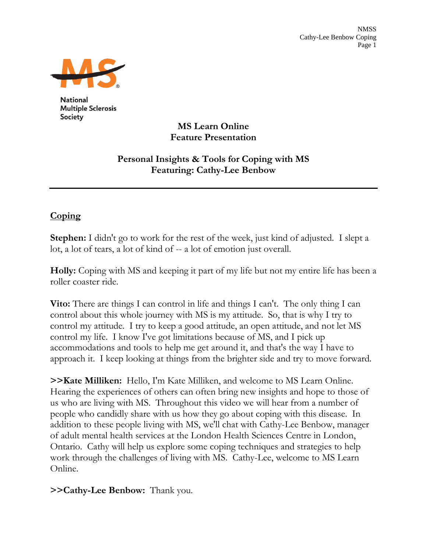

**National Multiple Sclerosis Society** 

**MS Learn Online Feature Presentation**

**Personal Insights & Tools for Coping with MS Featuring: Cathy-Lee Benbow**

## **Coping**

**Stephen:** I didn't go to work for the rest of the week, just kind of adjusted. I slept a lot, a lot of tears, a lot of kind of -- a lot of emotion just overall.

**Holly:** Coping with MS and keeping it part of my life but not my entire life has been a roller coaster ride.

**Vito:** There are things I can control in life and things I can't. The only thing I can control about this whole journey with MS is my attitude. So, that is why I try to control my attitude. I try to keep a good attitude, an open attitude, and not let MS control my life. I know I've got limitations because of MS, and I pick up accommodations and tools to help me get around it, and that's the way I have to approach it. I keep looking at things from the brighter side and try to move forward.

**>>Kate Milliken:** Hello, I'm Kate Milliken, and welcome to MS Learn Online. Hearing the experiences of others can often bring new insights and hope to those of us who are living with MS. Throughout this video we will hear from a number of people who candidly share with us how they go about coping with this disease. In addition to these people living with MS, we'll chat with Cathy-Lee Benbow, manager of adult mental health services at the London Health Sciences Centre in London, Ontario. Cathy will help us explore some coping techniques and strategies to help work through the challenges of living with MS. Cathy-Lee, welcome to MS Learn Online.

**>>Cathy-Lee Benbow:** Thank you.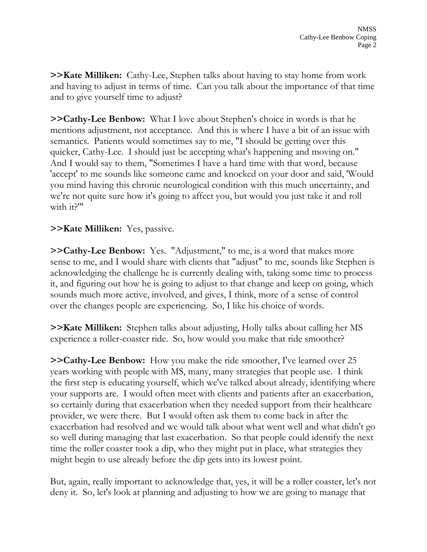**>>Kate Milliken:** Cathy-Lee, Stephen talks about having to stay home from work and having to adjust in terms of time. Can you talk about the importance of that time and to give yourself time to adjust?

**>>Cathy-Lee Benbow:** What I love about Stephen's choice in words is that he mentions adjustment, not acceptance. And this is where I have a bit of an issue with semantics. Patients would sometimes say to me, "I should be getting over this quicker, Cathy-Lee. I should just be accepting what's happening and moving on." And I would say to them, "Sometimes I have a hard time with that word, because 'accept' to me sounds like someone came and knocked on your door and said, 'Would you mind having this chronic neurological condition with this much uncertainty, and we're not quite sure how it's going to affect you, but would you just take it and roll with it?'"

## **>>Kate Milliken:** Yes, passive.

**>>Cathy-Lee Benbow:** Yes. "Adjustment," to me, is a word that makes more sense to me, and I would share with clients that "adjust" to me, sounds like Stephen is acknowledging the challenge he is currently dealing with, taking some time to process it, and figuring out how he is going to adjust to that change and keep on going, which sounds much more active, involved, and gives, I think, more of a sense of control over the changes people are experiencing. So, I like his choice of words.

**>>Kate Milliken:** Stephen talks about adjusting, Holly talks about calling her MS experience a roller-coaster ride. So, how would you make that ride smoother?

**>>Cathy-Lee Benbow:** How you make the ride smoother, I've learned over 25 years working with people with MS, many, many strategies that people use. I think the first step is educating yourself, which we've talked about already, identifying where your supports are. I would often meet with clients and patients after an exacerbation, so certainly during that exacerbation when they needed support from their healthcare provider, we were there. But I would often ask them to come back in after the exacerbation had resolved and we would talk about what went well and what didn't go so well during managing that last exacerbation. So that people could identify the next time the roller coaster took a dip, who they might put in place, what strategies they might begin to use already before the dip gets into its lowest point.

But, again, really important to acknowledge that, yes, it will be a roller coaster, let's not deny it. So, let's look at planning and adjusting to how we are going to manage that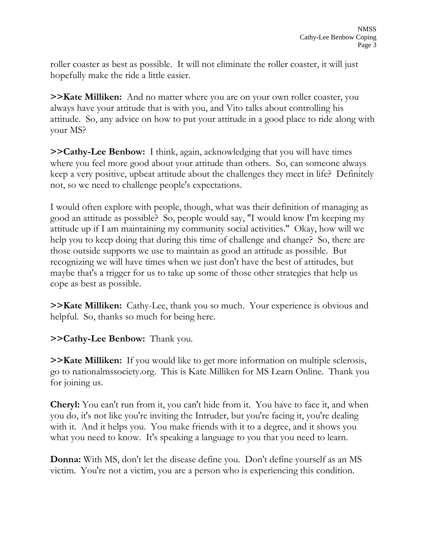roller coaster as best as possible. It will not eliminate the roller coaster, it will just hopefully make the ride a little easier.

**>>Kate Milliken:** And no matter where you are on your own roller coaster, you always have your attitude that is with you, and Vito talks about controlling his attitude. So, any advice on how to put your attitude in a good place to ride along with your MS?

**>>Cathy-Lee Benbow:** I think, again, acknowledging that you will have times where you feel more good about your attitude than others. So, can someone always keep a very positive, upbeat attitude about the challenges they meet in life? Definitely not, so we need to challenge people's expectations.

I would often explore with people, though, what was their definition of managing as good an attitude as possible? So, people would say, "I would know I'm keeping my attitude up if I am maintaining my community social activities." Okay, how will we help you to keep doing that during this time of challenge and change? So, there are those outside supports we use to maintain as good an attitude as possible. But recognizing we will have times when we just don't have the best of attitudes, but maybe that's a trigger for us to take up some of those other strategies that help us cope as best as possible.

**>>Kate Milliken:** Cathy-Lee, thank you so much. Your experience is obvious and helpful. So, thanks so much for being here.

**>>Cathy-Lee Benbow:** Thank you.

**>>Kate Milliken:** If you would like to get more information on multiple sclerosis, go to nationalmssociety.org. This is Kate Milliken for MS Learn Online. Thank you for joining us.

**Cheryl:** You can't run from it, you can't hide from it. You have to face it, and when you do, it's not like you're inviting the Intruder, but you're facing it, you're dealing with it. And it helps you. You make friends with it to a degree, and it shows you what you need to know. It's speaking a language to you that you need to learn.

**Donna:** With MS, don't let the disease define you. Don't define yourself as an MS victim. You're not a victim, you are a person who is experiencing this condition.